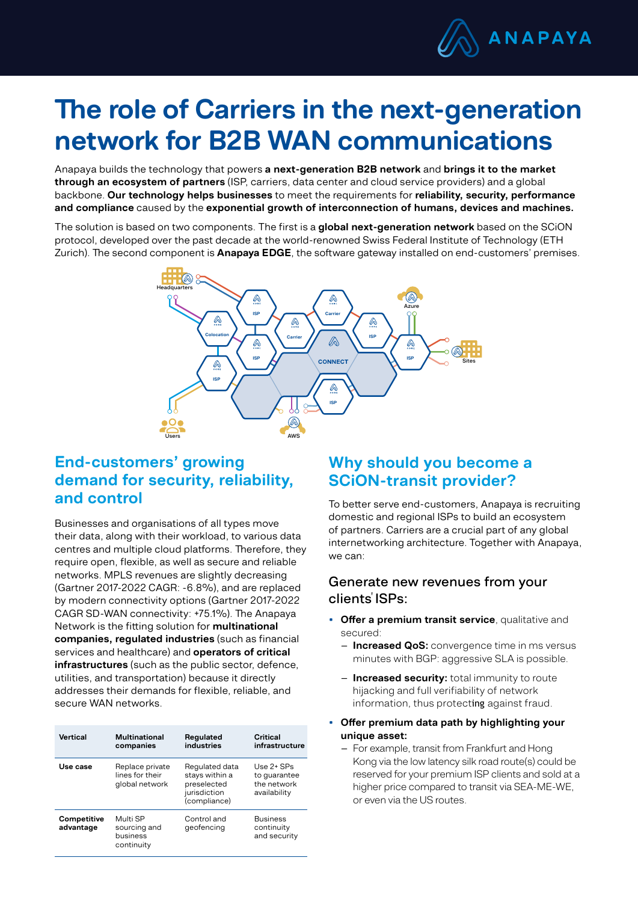

# The role of Carriers in the next-generation network for B2B WAN communications

Anapaya builds the technology that powers a next-generation B2B network and brings it to the market through an ecosystem of partners (ISP, carriers, data center and cloud service providers) and a global backbone. Our technology helps businesses to meet the requirements for reliability, security, performance and compliance caused by the exponential growth of interconnection of humans, devices and machines.

The solution is based on two components. The first is a global next-generation network based on the SCiON protocol, developed over the past decade at the world-renowned Swiss Federal Institute of Technology (ETH Zurich). The second component is **Anapaya EDGE**, the software gateway installed on end-customers' premises.



## End-customers' growing demand for security, reliability, and control

Businesses and organisations of all types move their data, along with their workload, to various data centres and multiple cloud platforms. Therefore, they require open, flexible, as well as secure and reliable networks. MPLS revenues are slightly decreasing (Gartner 2017-2022 CAGR: -6.8%), and are replaced by modern connectivity options (Gartner 2017-2022 CAGR SD-WAN connectivity: +75.1%). The Anapaya Network is the fitting solution for multinational companies, regulated industries (such as financial services and healthcare) and **operators of critical** infrastructures (such as the public sector, defence, utilities, and transportation) because it directly addresses their demands for flexible, reliable, and secure WAN networks.

| Vertical                 | Multinational<br>companies                           | Regulated<br>industries                                                         | Critical<br>infrastructure                                  |
|--------------------------|------------------------------------------------------|---------------------------------------------------------------------------------|-------------------------------------------------------------|
| Use case                 | Replace private<br>lines for their<br>global network | Regulated data<br>stays within a<br>preselected<br>jurisdiction<br>(compliance) | Use $2+$ SPs<br>to quarantee<br>the network<br>availability |
| Competitive<br>advantage | Multi SP<br>sourcing and<br>business<br>continuity   | Control and<br>geofencing                                                       | <b>Business</b><br>continuity<br>and security               |

## Why should you become a SCiON-transit provider?

To better serve end-customers, Anapaya is recruiting domestic and regional ISPs to build an ecosystem of partners. Carriers are a crucial part of any global internetworking architecture. Together with Anapaya, we can:

#### Generate new revenues from your clients ISPs:

- Offer a premium transit service, qualitative and secured:
	- **Increased QoS:** convergence time in ms versus minutes with BGP: aggressive SLA is possible.
	- **Increased security:** total immunity to route hijacking and full verifiability of network information, thus protecting against fraud.
- Offer premium data path by highlighting your unique asset:
	- For example, transit from Frankfurt and Hong Kong via the low latency silk road route(s) could be reserved for your premium ISP clients and sold at a higher price compared to transit via SEA-ME-WE, or even via the US routes.